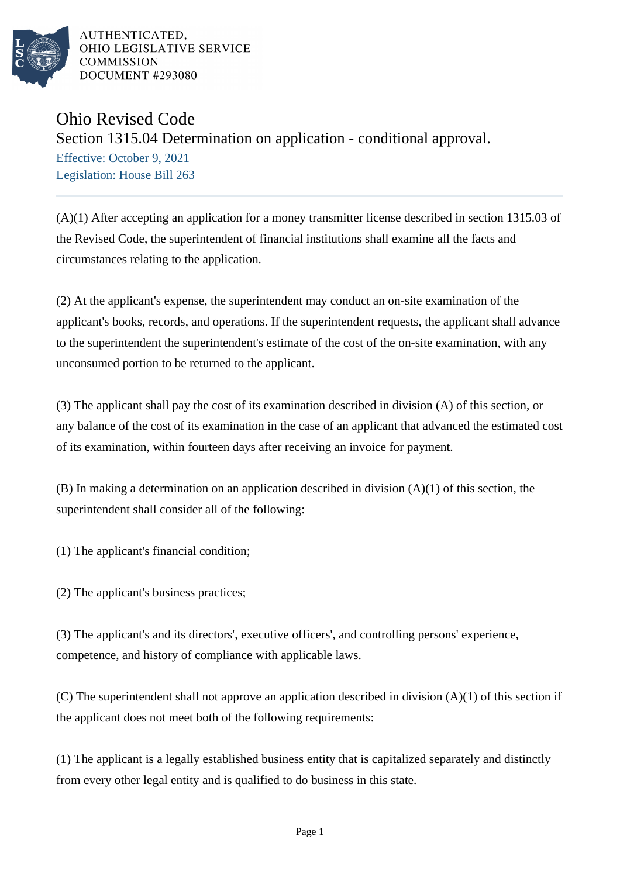

AUTHENTICATED, OHIO LEGISLATIVE SERVICE **COMMISSION** DOCUMENT #293080

## Ohio Revised Code

## Section 1315.04 Determination on application - conditional approval.

Effective: October 9, 2021 Legislation: House Bill 263

(A)(1) After accepting an application for a money transmitter license described in section 1315.03 of the Revised Code, the superintendent of financial institutions shall examine all the facts and circumstances relating to the application.

(2) At the applicant's expense, the superintendent may conduct an on-site examination of the applicant's books, records, and operations. If the superintendent requests, the applicant shall advance to the superintendent the superintendent's estimate of the cost of the on-site examination, with any unconsumed portion to be returned to the applicant.

(3) The applicant shall pay the cost of its examination described in division (A) of this section, or any balance of the cost of its examination in the case of an applicant that advanced the estimated cost of its examination, within fourteen days after receiving an invoice for payment.

(B) In making a determination on an application described in division (A)(1) of this section, the superintendent shall consider all of the following:

(1) The applicant's financial condition;

(2) The applicant's business practices;

(3) The applicant's and its directors', executive officers', and controlling persons' experience, competence, and history of compliance with applicable laws.

(C) The superintendent shall not approve an application described in division (A)(1) of this section if the applicant does not meet both of the following requirements:

(1) The applicant is a legally established business entity that is capitalized separately and distinctly from every other legal entity and is qualified to do business in this state.